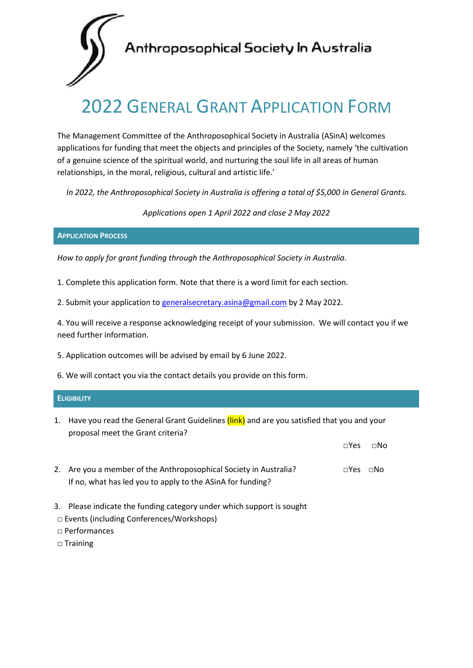

# Anthroposophical Society In Australia

# 2022 GENERAL GRANT APPLICATION FORM

The Management Committee of the Anthroposophical Society in Australia (ASinA) welcomes applications for funding that meet the objects and principles of the Society, namely 'the cultivation of a genuine science of the spiritual world, and nurturing the soul life in all areas of human relationships, in the moral, religious, cultural and artistic life.'

*In 2022, the Anthroposophical Society in Australia is offering a total of \$5,000 in General Grants.*

*Applications open 1 April 2022 and close 2 May 2022*

# **APPLICATION PROCESS**

*How to apply for grant funding through the Anthroposophical Society in Australia.*

1. Complete this application form. Note that there is a word limit for each section.

2. Submit your application to [generalsecretary.asina@gmail.com](mailto:generalsecretary.asina@gmail.com) by 2 May 2022.

4. You will receive a response acknowledging receipt of your submission. We will contact you if we need further information.

- 5. Application outcomes will be advised by email by 6 June 2022.
- 6. We will contact you via the contact details you provide on this form.

# **ELIGIBILITY**

1. Have you read the General Grant Guidelines (link) and are you satisfied that you and your proposal meet the Grant criteria?

|                                                                   | ⊓Υes                 | $\sqcap$ No |
|-------------------------------------------------------------------|----------------------|-------------|
| 2. Are you a member of the Anthroposophical Society in Australia? | $\Box$ Yes $\Box$ No |             |
| If no, what has led you to apply to the ASinA for funding?        |                      |             |

- 3. Please indicate the funding category under which support is sought
- **□** Events (including Conferences/Workshops)
- **□** Performances
- **□** Training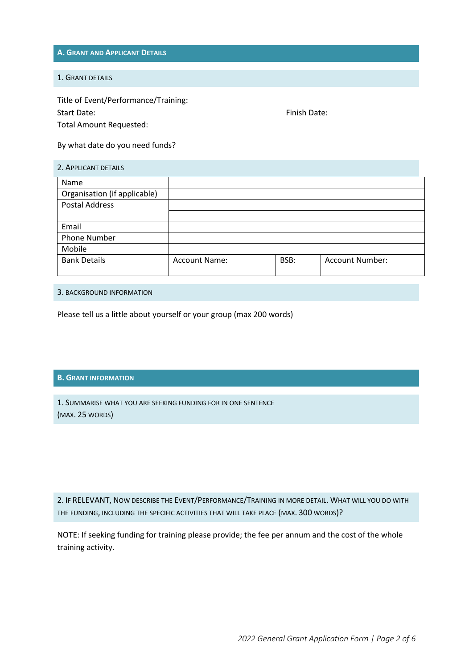**A. GRANT AND APPLICANT DETAILS**

#### 1. GRANT DETAILS

Title of Event/Performance/Training: Start Date: The Start Date: Finish Date: Total Amount Requested:

By what date do you need funds?

| 2. APPLICANT DETAILS         |                      |      |                        |  |
|------------------------------|----------------------|------|------------------------|--|
| Name                         |                      |      |                        |  |
| Organisation (if applicable) |                      |      |                        |  |
| <b>Postal Address</b>        |                      |      |                        |  |
|                              |                      |      |                        |  |
| Email                        |                      |      |                        |  |
| <b>Phone Number</b>          |                      |      |                        |  |
| Mobile                       |                      |      |                        |  |
| <b>Bank Details</b>          | <b>Account Name:</b> | BSB: | <b>Account Number:</b> |  |
|                              |                      |      |                        |  |

3. BACKGROUND INFORMATION

Please tell us a little about yourself or your group (max 200 words)

# **B. GRANT INFORMATION**

1. SUMMARISE WHAT YOU ARE SEEKING FUNDING FOR IN ONE SENTENCE (MAX. 25 WORDS)

2. IF RELEVANT, NOW DESCRIBE THE EVENT/PERFORMANCE/TRAINING IN MORE DETAIL. WHAT WILL YOU DO WITH THE FUNDING, INCLUDING THE SPECIFIC ACTIVITIES THAT WILL TAKE PLACE (MAX. 300 WORDS)?

NOTE: If seeking funding for training please provide; the fee per annum and the cost of the whole training activity.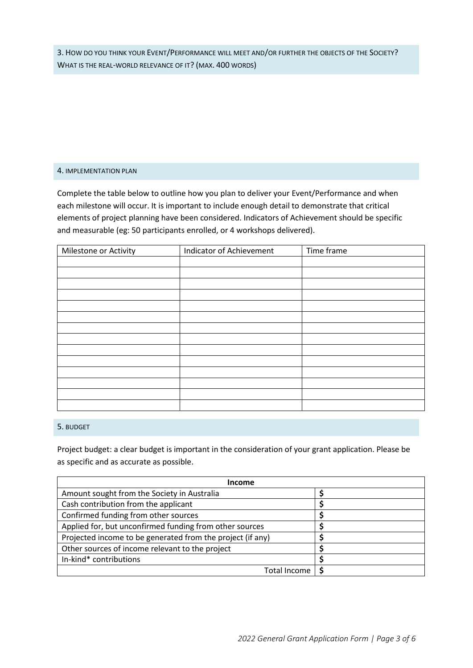3. HOW DO YOU THINK YOUR EVENT/PERFORMANCE WILL MEET AND/OR FURTHER THE OBJECTS OF THE SOCIETY? WHAT IS THE REAL-WORLD RELEVANCE OF IT? (MAX. 400 WORDS)

#### 4. IMPLEMENTATION PLAN

Complete the table below to outline how you plan to deliver your Event/Performance and when each milestone will occur. It is important to include enough detail to demonstrate that critical elements of project planning have been considered. Indicators of Achievement should be specific and measurable (eg: 50 participants enrolled, or 4 workshops delivered).

| Milestone or Activity | Indicator of Achievement | Time frame |
|-----------------------|--------------------------|------------|
|                       |                          |            |
|                       |                          |            |
|                       |                          |            |
|                       |                          |            |
|                       |                          |            |
|                       |                          |            |
|                       |                          |            |
|                       |                          |            |
|                       |                          |            |
|                       |                          |            |
|                       |                          |            |
|                       |                          |            |
|                       |                          |            |
|                       |                          |            |

# 5. BUDGET

Project budget: a clear budget is important in the consideration of your grant application. Please be as specific and as accurate as possible.

| <b>Income</b>                                              |  |  |
|------------------------------------------------------------|--|--|
| Amount sought from the Society in Australia                |  |  |
| Cash contribution from the applicant                       |  |  |
| Confirmed funding from other sources                       |  |  |
| Applied for, but unconfirmed funding from other sources    |  |  |
| Projected income to be generated from the project (if any) |  |  |
| Other sources of income relevant to the project            |  |  |
| In-kind* contributions                                     |  |  |
| Total Income                                               |  |  |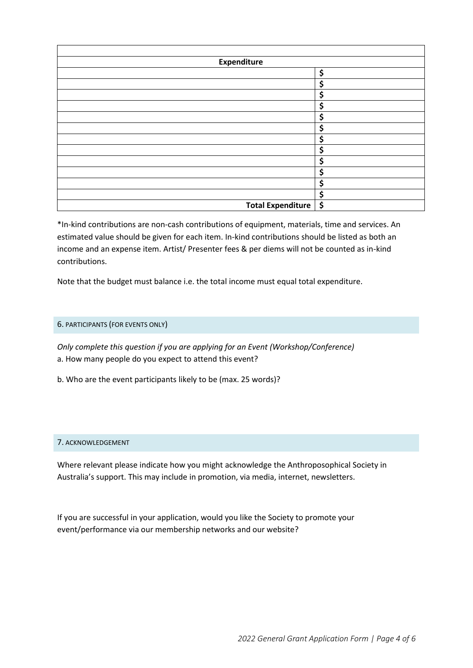| Expenditure            |    |  |  |
|------------------------|----|--|--|
|                        | \$ |  |  |
|                        | \$ |  |  |
|                        | \$ |  |  |
|                        | \$ |  |  |
|                        | \$ |  |  |
|                        | \$ |  |  |
|                        | \$ |  |  |
|                        | \$ |  |  |
|                        | \$ |  |  |
|                        | \$ |  |  |
|                        | \$ |  |  |
|                        | \$ |  |  |
| Total Expenditure   \$ |    |  |  |

\*In-kind contributions are non-cash contributions of equipment, materials, time and services. An estimated value should be given for each item. In-kind contributions should be listed as both an income and an expense item. Artist/ Presenter fees & per diems will not be counted as in-kind contributions.

Note that the budget must balance i.e. the total income must equal total expenditure.

# 6. PARTICIPANTS (FOR EVENTS ONLY)

*Only complete this question if you are applying for an Event (Workshop/Conference)*  a. How many people do you expect to attend this event?

b. Who are the event participants likely to be (max. 25 words)?

#### 7. ACKNOWLEDGEMENT

Where relevant please indicate how you might acknowledge the Anthroposophical Society in Australia's support. This may include in promotion, via media, internet, newsletters.

If you are successful in your application, would you like the Society to promote your event/performance via our membership networks and our website?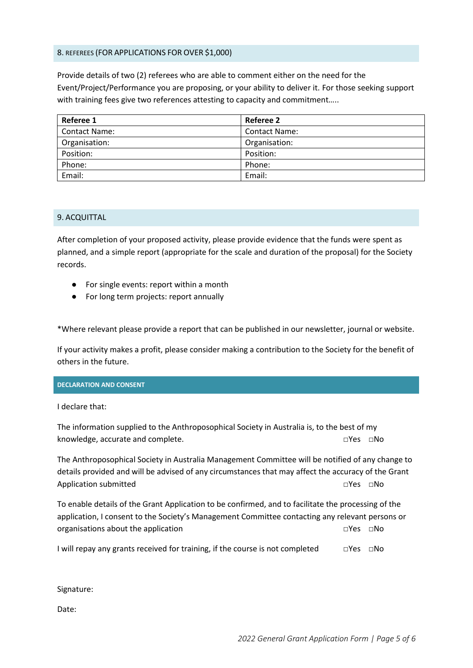## 8. REFEREES (FOR APPLICATIONS FOR OVER \$1,000)

Provide details of two (2) referees who are able to comment either on the need for the Event/Project/Performance you are proposing, or your ability to deliver it. For those seeking support with training fees give two references attesting to capacity and commitment.....

| Referee 1            | Referee 2            |
|----------------------|----------------------|
| <b>Contact Name:</b> | <b>Contact Name:</b> |
| Organisation:        | Organisation:        |
| Position:            | Position:            |
| Phone:               | Phone:               |
| Email:               | Email:               |

#### 9. ACQUITTAL

After completion of your proposed activity, please provide evidence that the funds were spent as planned, and a simple report (appropriate for the scale and duration of the proposal) for the Society records.

- For single events: report within a month
- For long term projects: report annually

\*Where relevant please provide a report that can be published in our newsletter, journal or website.

If your activity makes a profit, please consider making a contribution to the Society for the benefit of others in the future.

#### **DECLARATION AND CONSENT**

I declare that:

The information supplied to the Anthroposophical Society in Australia is, to the best of my knowledge, accurate and complete. **□**Yes □No

The Anthroposophical Society in Australia Management Committee will be notified of any change to details provided and will be advised of any circumstances that may affect the accuracy of the Grant Application submitted **□**Yes □No

To enable details of the Grant Application to be confirmed, and to facilitate the processing of the application, I consent to the Society's Management Committee contacting any relevant persons or organisations about the application **□**Yes □No

I will repay any grants received for training, if the course is not completed **□**Yes □No

Signature:

Date: